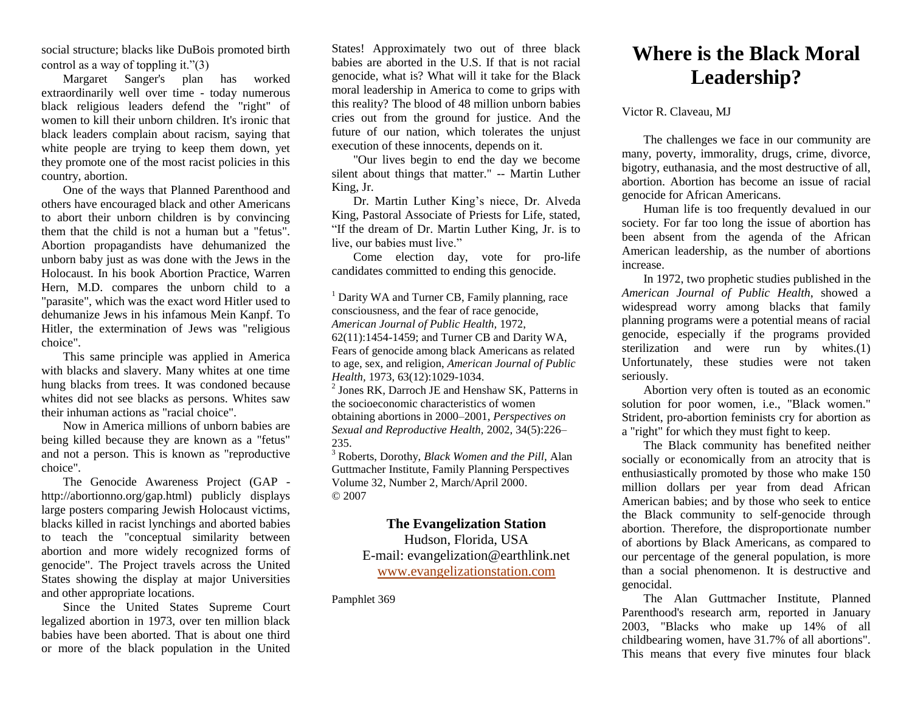social structure; blacks like DuBois promoted birth control as a way of toppling it."(3)

Margaret Sanger's plan has worked extraordinarily well over time - today numerous black religious leaders defend the "right" of women to kill their unborn children. It's ironic that black leaders complain about racism, saying that white people are trying to keep them down, yet they promote one of the most racist policies in this country, abortion.

One of the ways that Planned Parenthood and others have encouraged black and other Americans to abort their unborn children is by convincing them that the child is not a human but a "fetus". Abortion propagandists have dehumanized the unborn baby just as was done with the Jews in the Holocaust. In his book Abortion Practice, Warren Hern, M.D. compares the unborn child to a "parasite", which was the exact word Hitler used to dehumanize Jews in his infamous Mein Kanpf. To Hitler, the extermination of Jews was "religious choice".

This same principle was applied in America with blacks and slavery. Many whites at one time hung blacks from trees. It was condoned because whites did not see blacks as persons. Whites saw their inhuman actions as "racial choice".

Now in America millions of unborn babies are being killed because they are known as a "fetus" and not a person. This is known as "reproductive choice".

The Genocide Awareness Project (GAP http://abortionno.org/gap.html) publicly displays large posters comparing Jewish Holocaust victims, blacks killed in racist lynchings and aborted babies to teach the "conceptual similarity between abortion and more widely recognized forms of genocide". The Project travels across the United States showing the display at major Universities and other appropriate locations.

Since the United States Supreme Court legalized abortion in 1973, over ten million black babies have been aborted. That is about one third or more of the black population in the United

States! Approximately two out of three black babies are aborted in the U.S. If that is not racial genocide, what is? What will it take for the Black moral leadership in America to come to grips with this reality? The blood of 48 million unborn babies cries out from the ground for justice. And the future of our nation, which tolerates the unjust execution of these innocents, depends on it.

"Our lives begin to end the day we become silent about things that matter." -- Martin Luther King, Jr.

Dr. Martin Luther King's niece, Dr. Alveda King, Pastoral Associate of Priests for Life, stated, "If the dream of Dr. Martin Luther King, Jr. is to live, our babies must live."

Come election day, vote for pro-life candidates committed to ending this genocide.

<sup>1</sup> Darity WA and Turner CB, Family planning, race consciousness, and the fear of race genocide, *American Journal of Public Health,* 1972, 62(11):1454-1459; and Turner CB and Darity WA, Fears of genocide among black Americans as related to age, sex, and religion, *American Journal of Public Health,* 1973, 63(12):1029-1034.

2 Jones RK, Darroch JE and Henshaw SK, Patterns in the socioeconomic characteristics of women obtaining abortions in 2000–2001, *Perspectives on Sexual and Reproductive Health,* 2002, 34(5):226– 235.

<sup>3</sup> Roberts, Dorothy, *Black Women and the Pill,* Alan Guttmacher Institute, Family Planning Perspectives Volume 32, Number 2, March/April 2000. © 2007

## **The Evangelization Station**

Hudson, Florida, USA E-mail: evangelization@earthlink.net [www.evangelizationstation.com](http://www.pjpiisoe.org/)

Pamphlet 369

## **Where is the Black Moral Leadership?**

Victor R. Claveau, MJ

The challenges we face in our community are many, poverty, immorality, drugs, crime, divorce, bigotry, euthanasia, and the most destructive of all, abortion. Abortion has become an issue of racial genocide for African Americans.

Human life is too frequently devalued in our society. For far too long the issue of abortion has been absent from the agenda of the African American leadership, as the number of abortions increase.

In 1972, two prophetic studies published in the *American Journal of Public Health*, showed a widespread worry among blacks that family planning programs were a potential means of racial genocide, especially if the programs provided sterilization and were run by whites. $(1)$ Unfortunately, these studies were not taken seriously.

Abortion very often is touted as an economic solution for poor women, i.e., "Black women." Strident, pro-abortion feminists cry for abortion as a "right" for which they must fight to keep.

The Black community has benefited neither socially or economically from an atrocity that is enthusiastically promoted by those who make 150 million dollars per year from dead African American babies; and by those who seek to entice the Black community to self-genocide through abortion. Therefore, the disproportionate number of abortions by Black Americans, as compared to our percentage of the general population, is more than a social phenomenon. It is destructive and genocidal.

The Alan Guttmacher Institute, Planned Parenthood's research arm, reported in January 2003, "Blacks who make up 14% of all childbearing women, have 31.7% of all abortions". This means that every five minutes four black